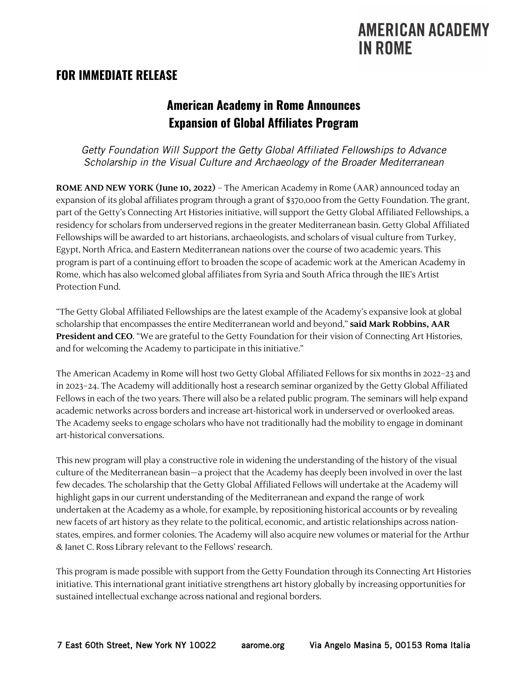## **AMERICAN ACADEMY IN ROME**

#### **FOR IMMEDIATE RELEASE**

## **American Academy in Rome Announces Expansion of Global Affiliates Program**

*Getty Foundation Will Support the Getty Global Affiliated Fellowships to Advance Scholarship in the Visual Culture and Archaeology of the Broader Mediterranean*

**ROME AND NEW YORK (June 10, 2022)** – The American Academy in Rome (AAR) announced today an expansion of its global affiliates program through a grant of \$370,000 from the Getty Foundation. The grant, part of the Getty's Connecting Art Histories initiative, will support the Getty Global Affiliated Fellowships, a residency for scholars from underserved regions in the greater Mediterranean basin. Getty Global Affiliated Fellowships will be awarded to art historians, archaeologists, and scholars of visual culture from Turkey, Egypt, North Africa, and Eastern Mediterranean nations over the course of two academic years. This program is part of a continuing effort to broaden the scope of academic work at the American Academy in Rome, which has also welcomed global affiliates from Syria and South Africa through the IIE's Artist Protection Fund.

"The Getty Global Affiliated Fellowships are the latest example of the Academy's expansive look at global scholarship that encompasses the entire Mediterranean world and beyond," **said Mark Robbins, AAR President and CEO**. "We are grateful to the Getty Foundation for their vision of Connecting Art Histories, and for welcoming the Academy to participate in this initiative."

The American Academy in Rome will host two Getty Global Affiliated Fellows for six months in 2022–23 and in 2023–24. The Academy will additionally host a research seminar organized by the Getty Global Affiliated Fellows in each of the two years. There will also be a related public program. The seminars will help expand academic networks across borders and increase art-historical work in underserved or overlooked areas. The Academy seeks to engage scholars who have not traditionally had the mobility to engage in dominant art-historical conversations.

This new program will play a constructive role in widening the understanding of the history of the visual culture of the Mediterranean basin—a project that the Academy has deeply been involved in over the last few decades. The scholarship that the Getty Global Affiliated Fellows will undertake at the Academy will highlight gaps in our current understanding of the Mediterranean and expand the range of work undertaken at the Academy as a whole, for example, by repositioning historical accounts or by revealing new facets of art history as they relate to the political, economic, and artistic relationships across nationstates, empires, and former colonies. The Academy will also acquire new volumes or material for the Arthur & Janet C. Ross Library relevant to the Fellows' research.

This program is made possible with support from the Getty Foundation through its Connecting Art Histories initiative. This international grant initiative strengthens art history globally by increasing opportunities for sustained intellectual exchange across national and regional borders.